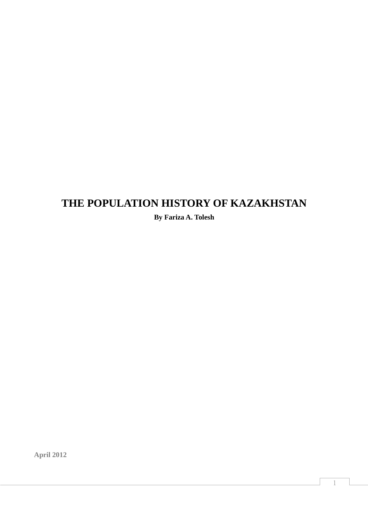# **THE POPULATION HISTORY OF KAZAKHSTAN**

**By Fariza A. Tolesh** 

**April 2012**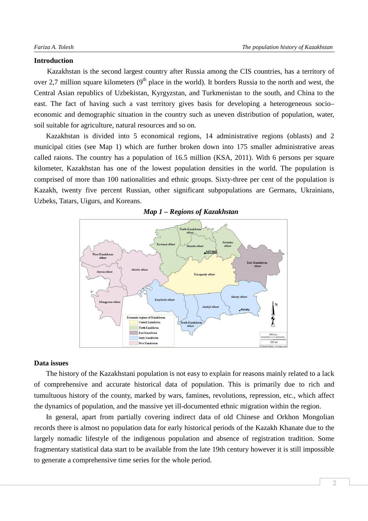### **Introduction**

Kazakhstan is the second largest country after Russia among the CIS countries, has a territory of over 2,7 million square kilometers  $(9<sup>th</sup>$  place in the world). It borders Russia to the north and west, the Central Asian republics of Uzbekistan, Kyrgyzstan, and Turkmenistan to the south, and China to the east. The fact of having such a vast territory gives basis for developing a heterogeneous socio– economic and demographic situation in the country such as uneven distribution of population, water, soil suitable for agriculture, natural resources and so on.

Kazakhstan is divided into 5 economical regions, 14 administrative regions (oblasts) and 2 municipal cities (see Map 1) which are further broken down into 175 smaller administrative areas called raions. The country has a population of 16.5 million (KSA, 2011). With 6 persons per square kilometer, Kazakhstan has one of the lowest population densities in the world. The population is comprised of more than 100 nationalities and ethnic groups. Sixty-three per cent of the population is Kazakh, twenty five percent Russian, other significant subpopulations are Germans, Ukrainians, Uzbeks, Tatars, Uigurs, and Koreans.



#### *Map 1 – Regions of Kazakhstan*

#### **Data issues**

The history of the Kazakhstani population is not easy to explain for reasons mainly related to a lack of comprehensive and accurate historical data of population. This is primarily due to rich and tumultuous history of the county, marked by wars, famines, revolutions, repression, etc., which affect the dynamics of population, and the massive yet ill-documented ethnic migration within the region.

In general, apart from partially covering indirect data of old Chinese and Orkhon Mongolian records there is almost no population data for early historical periods of the Kazakh Khanate due to the largely nomadic lifestyle of the indigenous population and absence of registration tradition. Some fragmentary statistical data start to be available from the late 19th century however it is still impossible to generate a comprehensive time series for the whole period.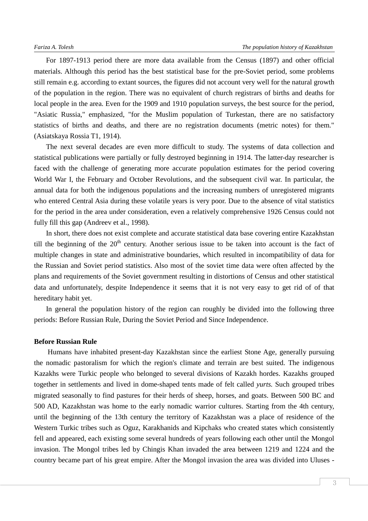For 1897-1913 period there are more data available from the Census (1897) and other official materials. Although this period has the best statistical base for the pre-Soviet period, some problems still remain e.g. according to extant sources, the figures did not account very well for the natural growth of the population in the region. There was no equivalent of church registrars of births and deaths for local people in the area. Even for the 1909 and 1910 population surveys, the best source for the period, "Asiatic Russia," emphasized, "for the Muslim population of Turkestan, there are no satisfactory statistics of births and deaths, and there are no registration documents (metric notes) for them." (Asiatskaya Rossia T1, 1914).

The next several decades are even more difficult to study. The systems of data collection and statistical publications were partially or fully destroyed beginning in 1914. The latter-day researcher is faced with the challenge of generating more accurate population estimates for the period covering World War I, the February and October Revolutions, and the subsequent civil war. In particular, the annual data for both the indigenous populations and the increasing numbers of unregistered migrants who entered Central Asia during these volatile years is very poor. Due to the absence of vital statistics for the period in the area under consideration, even a relatively comprehensive 1926 Census could not fully fill this gap (Andreev et al., 1998).

In short, there does not exist complete and accurate statistical data base covering entire Kazakhstan till the beginning of the  $20<sup>th</sup>$  century. Another serious issue to be taken into account is the fact of multiple changes in state and administrative boundaries, which resulted in incompatibility of data for the Russian and Soviet period statistics. Also most of the soviet time data were often affected by the plans and requirements of the Soviet government resulting in distortions of Census and other statistical data and unfortunately, despite Independence it seems that it is not very easy to get rid of of that hereditary habit yet.

In general the population history of the region can roughly be divided into the following three periods: Before Russian Rule, During the Soviet Period and Since Independence.

#### **Before Russian Rule**

Humans have inhabited present-day Kazakhstan since the earliest Stone Age, generally pursuing the nomadic pastoralism for which the region's climate and terrain are best suited. The indigenous Kazakhs were Turkic people who belonged to several divisions of Kazakh hordes. Kazakhs grouped together in settlements and lived in dome-shaped tents made of felt called *yurts.* Such grouped tribes migrated seasonally to find pastures for their herds of sheep, horses, and goats. Between 500 BC and 500 AD, Kazakhstan was home to the early nomadic warrior cultures. Starting from the 4th century, until the beginning of the 13th century the territory of Kazakhstan was a place of residence of the Western Turkic tribes such as Oguz, Karakhanids and Kipchaks who created states which consistently fell and appeared, each existing some several hundreds of years following each other until the Mongol invasion. The Mongol tribes led by Chingis Khan invaded the area between 1219 and 1224 and the country became part of his great empire. After the Mongol invasion the area was divided into Uluses -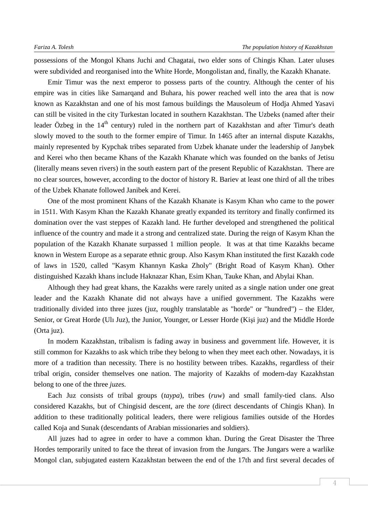possessions of the Mongol Khans Juchi and Chagatai, two elder sons of Chingis Khan. Later uluses were subdivided and reorganised into the White Horde, Mongolistan and, finally, the Kazakh Khanate.

Emir Timur was the next emperor to possess parts of the country. Although the center of his empire was in cities like Samarqand and Buhara, his power reached well into the area that is now known as Kazakhstan and one of his most famous buildings the Mausoleum of Hodja Ahmed Yasavi can still be visited in the city Turkestan located in southern Kazakhstan. The Uzbeks (named after their leader Özbeg in the 14<sup>th</sup> century) ruled in the northern part of Kazakhstan and after Timur's death slowly moved to the south to the former empire of Timur. In 1465 after an internal dispute Kazakhs, mainly represented by Kypchak tribes separated from Uzbek khanate under the leadership of Janybek and Kerei who then became Khans of the Kazakh Khanate which was founded on the banks of Jetisu (literally means seven rivers) in the south eastern part of the present Republic of Kazakhstan. There are no clear sources, however, according to the doctor of history R. Bariev at least one third of all the tribes of the Uzbek Khanate followed Janibek and Kerei.

One of the most prominent Khans of the Kazakh Khanate is Kasym Khan who came to the power in 1511. With Kasym Khan the Kazakh Khanate greatly expanded its territory and finally confirmed its domination over the vast steppes of Kazakh land. He further developed and strengthened the political influence of the country and made it a strong and centralized state. During the reign of Kasym Khan the population of the Kazakh Khanate surpassed 1 million people. It was at that time Kazakhs became known in Western Europe as a separate ethnic group. Also Kasym Khan instituted the first Kazakh code of laws in 1520, called "Kasym Khannyn Kaska Zholy" (Bright Road of Kasym Khan). Other distinguished Kazakh khans include Haknazar Khan, Esim Khan, Tauke Khan, and Abylai Khan.

Although they had great khans, the Kazakhs were rarely united as a single nation under one great leader and the Kazakh Khanate did not always have a unified government. The Kazakhs were traditionally divided into three juzes (juz, roughly translatable as "horde" or "hundred") – the Elder, Senior, or Great Horde (Ulı Juz), the Junior, Younger, or Lesser Horde (Kişi juz) and the Middle Horde (Orta juz).

In modern Kazakhstan, tribalism is fading away in business and government life. However, it is still common for Kazakhs to ask which tribe they belong to when they meet each other. Nowadays, it is more of a tradition than necessity. There is no hostility between tribes. Kazakhs, regardless of their tribal origin, consider themselves one nation. The majority of Kazakhs of modern-day Kazakhstan belong to one of the three *juzes.* 

Each Juz consists of tribal groups (*taypa*), tribes (*ruw*) and small family-tied clans. Also considered Kazakhs, but of Chingisid descent, are the *tore* (direct descendants of Chingis Khan). In addition to these traditionally political leaders, there were religious families outside of the Hordes called Koja and Sunak (descendants of Arabian missionaries and soldiers).

All juzes had to agree in order to have a common khan. During the Great Disaster the Three Hordes temporarily united to face the threat of invasion from the Jungars. The Jungars were a warlike Mongol clan, subjugated eastern Kazakhstan between the end of the 17th and first several decades of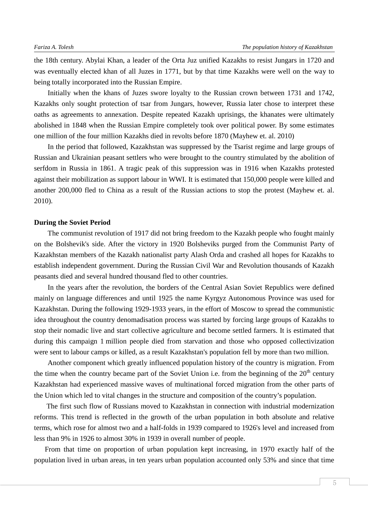the 18th century. Abylai Khan, a leader of the Orta Juz unified Kazakhs to resist Jungars in 1720 and was eventually elected khan of all Juzes in 1771, but by that time Kazakhs were well on the way to being totally incorporated into the Russian Empire.

Initially when the khans of Juzes swore loyalty to the Russian crown between 1731 and 1742, Kazakhs only sought protection of tsar from Jungars, however, Russia later chose to interpret these oaths as agreements to annexation. Despite repeated Kazakh uprisings, the khanates were ultimately abolished in 1848 when the Russian Empire completely took over political power. By some estimates one million of the four million Kazakhs died in revolts before 1870 (Mayhew et. al. 2010)

In the period that followed, Kazakhstan was suppressed by the Tsarist regime and large groups of Russian and Ukrainian peasant settlers who were brought to the country stimulated by the abolition of serfdom in Russia in 1861. A tragic peak of this suppression was in 1916 when Kazakhs protested against their mobilization as support labour in WWI. It is estimated that 150,000 people were killed and another 200,000 fled to China as a result of the Russian actions to stop the protest (Mayhew et. al. 2010).

#### **During the Soviet Period**

The communist revolution of 1917 did not bring freedom to the Kazakh people who fought mainly on the Bolshevik's side. After the victory in 1920 Bolsheviks purged from the Communist Party of Kazakhstan members of the Kazakh nationalist party Alash Orda and crashed all hopes for Kazakhs to establish independent government. During the Russian Civil War and Revolution thousands of Kazakh peasants died and several hundred thousand fled to other countries.

In the years after the revolution, the borders of the Central Asian Soviet Republics were defined mainly on language differences and until 1925 the name Kyrgyz Autonomous Province was used for Kazakhstan. During the following 1929-1933 years, in the effort of Moscow to spread the communistic idea throughout the country denomadisation process was started by forcing large groups of Kazakhs to stop their nomadic live and start collective agriculture and become settled farmers. It is estimated that during this campaign 1 million people died from starvation and those who opposed collectivization were sent to labour camps or killed, as a result Kazakhstan's population fell by more than two million.

Another component which greatly influenced population history of the country is migration. From the time when the country became part of the Soviet Union i.e. from the beginning of the  $20<sup>th</sup>$  century Kazakhstan had experienced massive waves of multinational forced migration from the other parts of the Union which led to vital changes in the structure and composition of the country's population.

 The first such flow of Russians moved to Kazakhstan in connection with industrial modernization reforms. This trend is reflected in the growth of the urban population in both absolute and relative terms, which rose for almost two and a half-folds in 1939 compared to 1926's level and increased from less than 9% in 1926 to almost 30% in 1939 in overall number of people.

From that time on proportion of urban population kept increasing, in 1970 exactly half of the population lived in urban areas, in ten years urban population accounted only 53% and since that time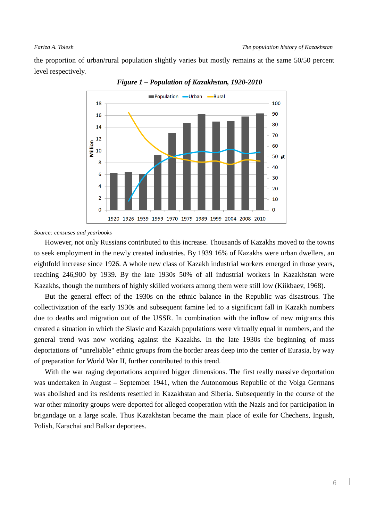the proportion of urban/rural population slightly varies but mostly remains at the same 50/50 percent level respectively.



*Figure 1 – Population of Kazakhstan, 1920-2010* 

*Source: censuses and yearbooks* 

However, not only Russians contributed to this increase. Thousands of Kazakhs moved to the towns to seek employment in the newly created industries. By 1939 16% of Kazakhs were urban dwellers, an eightfold increase since 1926. A whole new class of Kazakh industrial workers emerged in those years, reaching 246,900 by 1939. By the late 1930s 50% of all industrial workers in Kazakhstan were Kazakhs, though the numbers of highly skilled workers among them were still low (Kiikbaev, 1968).

But the general effect of the 1930s on the ethnic balance in the Republic was disastrous. The collectivization of the early 1930s and subsequent famine led to a significant fall in Kazakh numbers due to deaths and migration out of the USSR. In combination with the inflow of new migrants this created a situation in which the Slavic and Kazakh populations were virtually equal in numbers, and the general trend was now working against the Kazakhs. In the late 1930s the beginning of mass deportations of "unreliable" ethnic groups from the border areas deep into the center of Eurasia, by way of preparation for World War II, further contributed to this trend.

With the war raging deportations acquired bigger dimensions. The first really massive deportation was undertaken in August – September 1941, when the Autonomous Republic of the Volga Germans was abolished and its residents resettled in Kazakhstan and Siberia. Subsequently in the course of the war other minority groups were deported for alleged cooperation with the Nazis and for participation in brigandage on a large scale. Thus Kazakhstan became the main place of exile for Chechens, Ingush, Polish, Karachai and Balkar deportees.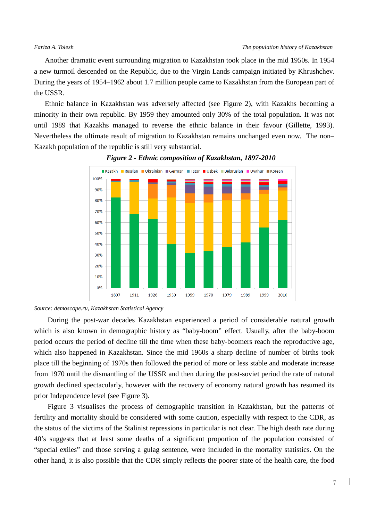Another dramatic event surrounding migration to Kazakhstan took place in the mid 1950s. In 1954 a new turmoil descended on the Republic, due to the Virgin Lands campaign initiated by Khrushchev. During the years of 1954–1962 about 1.7 million people came to Kazakhstan from the European part of the USSR.

Ethnic balance in Kazakhstan was adversely affected (see Figure 2), with Kazakhs becoming a minority in their own republic. By 1959 they amounted only 30% of the total population. It was not until 1989 that Kazakhs managed to reverse the ethnic balance in their favour (Gillette, 1993). Nevertheless the ultimate result of migration to Kazakhstan remains unchanged even now. The non– Kazakh population of the republic is still very substantial.





During the post-war decades Kazakhstan experienced a period of considerable natural growth which is also known in demographic history as "baby-boom" effect. Usually, after the baby-boom period occurs the period of decline till the time when these baby-boomers reach the reproductive age, which also happened in Kazakhstan. Since the mid 1960s a sharp decline of number of births took place till the beginning of 1970s then followed the period of more or less stable and moderate increase from 1970 until the dismantling of the USSR and then during the post-soviet period the rate of natural growth declined spectacularly, however with the recovery of economy natural growth has resumed its prior Independence level (see Figure 3).

Figure 3 visualises the process of demographic transition in Kazakhstan, but the patterns of fertility and mortality should be considered with some caution, especially with respect to the CDR, as the status of the victims of the Stalinist repressions in particular is not clear. The high death rate during 40's suggests that at least some deaths of a significant proportion of the population consisted of "special exiles" and those serving a gulag sentence, were included in the mortality statistics. On the other hand, it is also possible that the CDR simply reflects the poorer state of the health care, the food

*Source: demoscope.ru, Kazakhstan Statistical Agency*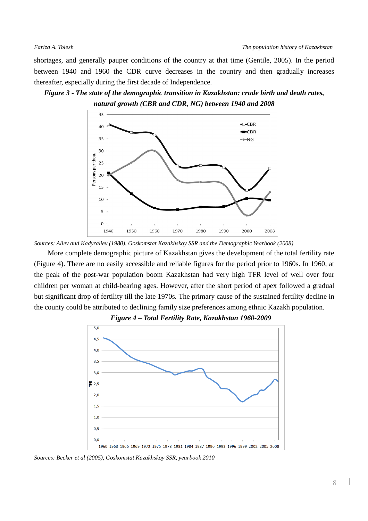shortages, and generally pauper conditions of the country at that time (Gentile, 2005). In the period between 1940 and 1960 the CDR curve decreases in the country and then gradually increases thereafter, especially during the first decade of Independence.





*Sources: Aliev and Kadyraliev (1980), Goskomstat Kazakhskoy SSR and the Demographic Yearbook (2008)* 

More complete demographic picture of Kazakhstan gives the development of the total fertility rate (Figure 4). There are no easily accessible and reliable figures for the period prior to 1960s. In 1960, at the peak of the post-war population boom Kazakhstan had very high TFR level of well over four children per woman at child-bearing ages. However, after the short period of apex followed a gradual but significant drop of fertility till the late 1970s. The primary cause of the sustained fertility decline in the county could be attributed to declining family size preferences among ethnic Kazakh population.



*Figure 4 – Total Fertility Rate, Kazakhstan 1960-2009* 

*Sources: Becker et al (2005), Goskomstat Kazakhskoy SSR, yearbook 2010*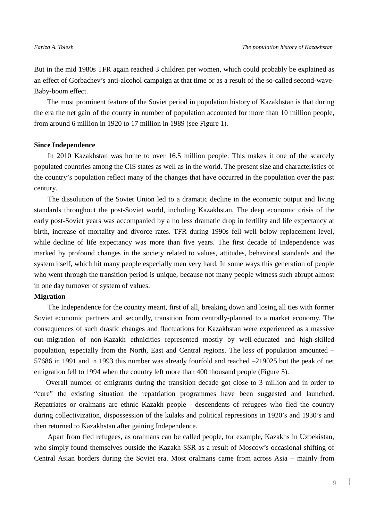But in the mid 1980s TFR again reached 3 children per women, which could probably be explained as an effect of Gorbachev's anti-alcohol campaign at that time or as a result of the so-called second-wave-Baby-boom effect.

The most prominent feature of the Soviet period in population history of Kazakhstan is that during the era the net gain of the county in number of population accounted for more than 10 million people, from around 6 million in 1920 to 17 million in 1989 (see Figure 1).

### **Since Independence**

In 2010 Kazakhstan was home to over 16.5 million people. This makes it one of the scarcely populated countries among the CIS states as well as in the world. The present size and characteristics of the country's population reflect many of the changes that have occurred in the population over the past century.

The dissolution of the Soviet Union led to a dramatic decline in the economic output and living standards throughout the post-Soviet world, including Kazakhstan. The deep economic crisis of the early post-Soviet years was accompanied by a no less dramatic drop in fertility and life expectancy at birth, increase of mortality and divorce rates. TFR during 1990s fell well below replacement level, while decline of life expectancy was more than five years. The first decade of Independence was marked by profound changes in the society related to values, attitudes, behavioral standards and the system itself, which hit many people especially men very hard. In some ways this generation of people who went through the transition period is unique, because not many people witness such abrupt almost in one day turnover of system of values.

#### **Migration**

The Independence for the country meant, first of all, breaking down and losing all ties with former Soviet economic partners and secondly, transition from centrally-planned to a market economy. The consequences of such drastic changes and fluctuations for Kazakhstan were experienced as a massive out–migration of non-Kazakh ethnicities represented mostly by well-educated and high-skilled population, especially from the North, East and Central regions. The loss of population amounted – 57686 in 1991 and in 1993 this number was already fourfold and reached –219025 but the peak of net emigration fell to 1994 when the country left more than 400 thousand people (Figure 5).

Overall number of emigrants during the transition decade got close to 3 million and in order to "cure" the existing situation the repatriation programmes have been suggested and launched. Repatriates or oralmans are ethnic Kazakh people - descendents of refugees who fled the country during collectivization, dispossession of the kulaks and political repressions in 1920's and 1930's and then returned to Kazakhstan after gaining Independence.

Apart from fled refugees, as oralmans can be called people, for example, Kazakhs in Uzbekistan, who simply found themselves outside the Kazakh SSR as a result of Moscow's occasional shifting of Central Asian borders during the Soviet era. Most oralmans came from across Asia – mainly from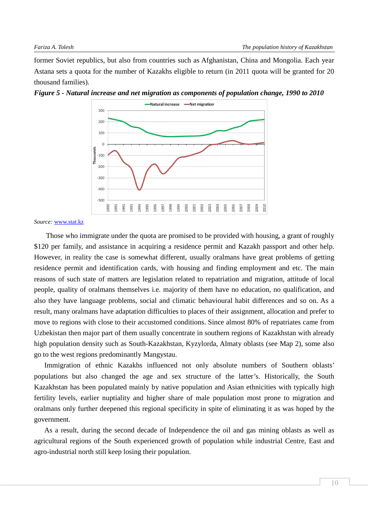former Soviet republics, but also from countries such as Afghanistan, China and Mongolia. Each year Astana sets a quota for the number of Kazakhs eligible to return (in 2011 quota will be granted for 20 thousand families).



*Figure 5 - Natural increase and net migration as components of population change, 1990 to 2010* 

*Source:* www.stat.kz

Those who immigrate under the quota are promised to be provided with housing, a grant of roughly \$120 per family, and assistance in acquiring a residence permit and Kazakh passport and other help. However, in reality the case is somewhat different, usually oralmans have great problems of getting residence permit and identification cards, with housing and finding employment and etc. The main reasons of such state of matters are legislation related to repatriation and migration, attitude of local people, quality of oralmans themselves i.e. majority of them have no education, no qualification, and also they have language problems, social and climatic behavioural habit differences and so on. As a result, many oralmans have adaptation difficulties to places of their assignment, allocation and prefer to move to regions with close to their accustomed conditions. Since almost 80% of repatriates came from Uzbekistan then major part of them usually concentrate in southern regions of Kazakhstan with already high population density such as South-Kazakhstan, Kyzylorda, Almaty oblasts (see Map 2), some also go to the west regions predominantly Mangystau.

Immigration of ethnic Kazakhs influenced not only absolute numbers of Southern oblasts' populations but also changed the age and sex structure of the latter's. Historically, the South Kazakhstan has been populated mainly by native population and Asian ethnicities with typically high fertility levels, earlier nuptiality and higher share of male population most prone to migration and oralmans only further deepened this regional specificity in spite of eliminating it as was hoped by the government.

As a result, during the second decade of Independence the oil and gas mining oblasts as well as agricultural regions of the South experienced growth of population while industrial Centre, East and agro-industrial north still keep losing their population.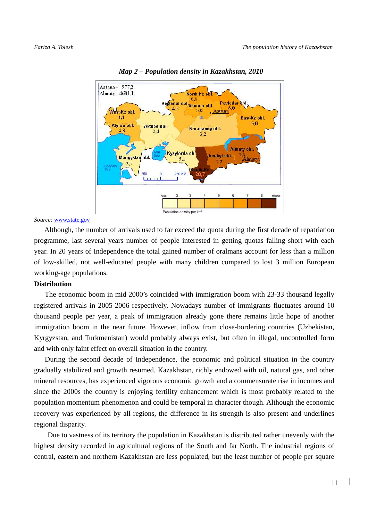

*Map 2 – Population density in Kazakhstan, 2010*

*Source:* www.state.gov

Although, the number of arrivals used to far exceed the quota during the first decade of repatriation programme, last several years number of people interested in getting quotas falling short with each year. In 20 years of Independence the total gained number of oralmans account for less than a million of low-skilled, not well-educated people with many children compared to lost 3 million European working-age populations.

# **Distribution**

The economic boom in mid 2000's coincided with immigration boom with 23-33 thousand legally registered arrivals in 2005-2006 respectively. Nowadays number of immigrants fluctuates around 10 thousand people per year, a peak of immigration already gone there remains little hope of another immigration boom in the near future. However, inflow from close-bordering countries (Uzbekistan, Kyrgyzstan, and Turkmenistan) would probably always exist, but often in illegal, uncontrolled form and with only faint effect on overall situation in the country.

During the second decade of Independence, the economic and political situation in the country gradually stabilized and growth resumed. Kazakhstan, richly endowed with oil, natural gas, and other mineral resources, has experienced vigorous economic growth and a commensurate rise in incomes and since the 2000s the country is enjoying fertility enhancement which is most probably related to the population momentum phenomenon and could be temporal in character though. Although the economic recovery was experienced by all regions, the difference in its strength is also present and underlines regional disparity.

Due to vastness of its territory the population in Kazakhstan is distributed rather unevenly with the highest density recorded in agricultural regions of the South and far North. The industrial regions of central, eastern and northern Kazakhstan are less populated, but the least number of people per square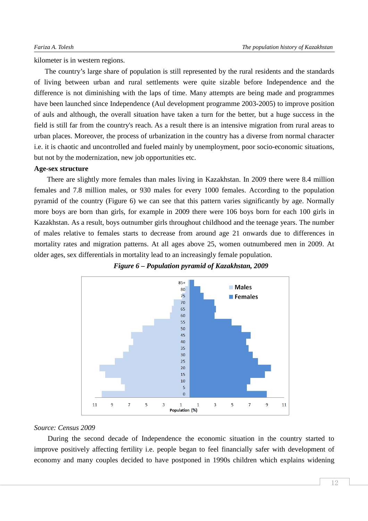kilometer is in western regions.

The country's large share of population is still represented by the rural residents and the standards of living between urban and rural settlements were quite sizable before Independence and the difference is not diminishing with the laps of time. Many attempts are being made and programmes have been launched since Independence (Aul development programme 2003-2005) to improve position of auls and although, the overall situation have taken a turn for the better, but a huge success in the field is still far from the country's reach. As a result there is an intensive migration from rural areas to urban places. Moreover, the process of urbanization in the country has a diverse from normal character i.e. it is chaotic and uncontrolled and fueled mainly by unemployment, poor socio-economic situations, but not by the modernization, new job opportunities etc.

### **Age-sex structure**

There are slightly more females than males living in Kazakhstan. In 2009 there were 8.4 million females and 7.8 million males, or 930 males for every 1000 females. According to the population pyramid of the country (Figure 6) we can see that this pattern varies significantly by age. Normally more boys are born than girls, for example in 2009 there were 106 boys born for each 100 girls in Kazakhstan. As a result, boys outnumber girls throughout childhood and the teenage years. The number of males relative to females starts to decrease from around age 21 onwards due to differences in mortality rates and migration patterns. At all ages above 25, women outnumbered men in 2009. At older ages, sex differentials in mortality lead to an increasingly female population.





# *Source: Census 2009*

During the second decade of Independence the economic situation in the country started to improve positively affecting fertility i.e. people began to feel financially safer with development of economy and many couples decided to have postponed in 1990s children which explains widening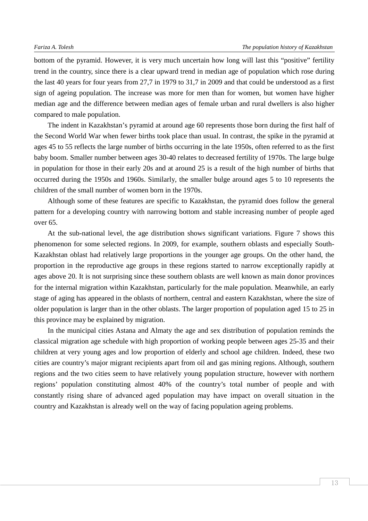bottom of the pyramid. However, it is very much uncertain how long will last this "positive" fertility trend in the country, since there is a clear upward trend in median age of population which rose during the last 40 years for four years from 27,7 in 1979 to 31,7 in 2009 and that could be understood as a first sign of ageing population. The increase was more for men than for women, but women have higher median age and the difference between median ages of female urban and rural dwellers is also higher compared to male population.

The indent in Kazakhstan's pyramid at around age 60 represents those born during the first half of the Second World War when fewer births took place than usual. In contrast, the spike in the pyramid at ages 45 to 55 reflects the large number of births occurring in the late 1950s, often referred to as the first baby boom. Smaller number between ages 30-40 relates to decreased fertility of 1970s. The large bulge in population for those in their early 20s and at around 25 is a result of the high number of births that occurred during the 1950s and 1960s. Similarly, the smaller bulge around ages 5 to 10 represents the children of the small number of women born in the 1970s.

Although some of these features are specific to Kazakhstan, the pyramid does follow the general pattern for a developing country with narrowing bottom and stable increasing number of people aged over 65.

At the sub-national level, the age distribution shows significant variations. Figure 7 shows this phenomenon for some selected regions. In 2009, for example, southern oblasts and especially South-Kazakhstan oblast had relatively large proportions in the younger age groups. On the other hand, the proportion in the reproductive age groups in these regions started to narrow exceptionally rapidly at ages above 20. It is not surprising since these southern oblasts are well known as main donor provinces for the internal migration within Kazakhstan, particularly for the male population. Meanwhile, an early stage of aging has appeared in the oblasts of northern, central and eastern Kazakhstan, where the size of older population is larger than in the other oblasts. The larger proportion of population aged 15 to 25 in this province may be explained by migration.

In the municipal cities Astana and Almaty the age and sex distribution of population reminds the classical migration age schedule with high proportion of working people between ages 25-35 and their children at very young ages and low proportion of elderly and school age children. Indeed, these two cities are country's major migrant recipients apart from oil and gas mining regions. Although, southern regions and the two cities seem to have relatively young population structure, however with northern regions' population constituting almost 40% of the country's total number of people and with constantly rising share of advanced aged population may have impact on overall situation in the country and Kazakhstan is already well on the way of facing population ageing problems.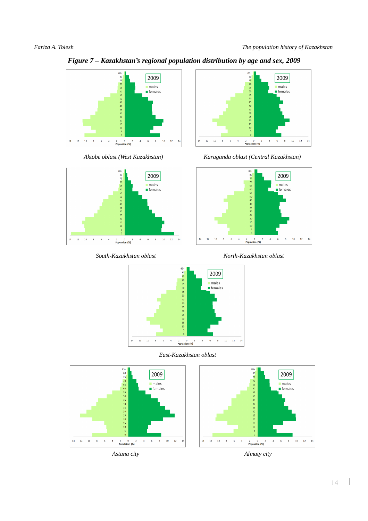

*Figure 7 – Kazakhstan's regional population distribution by age and sex, 2009* 







*Aktobe oblast (West Kazakhstan) Karaganda oblast (Central Kazakhstan)* 



 *South-Kazakhstan oblast North-Kazakhstan oblast* 



 *East-Kazakhstan oblast* 

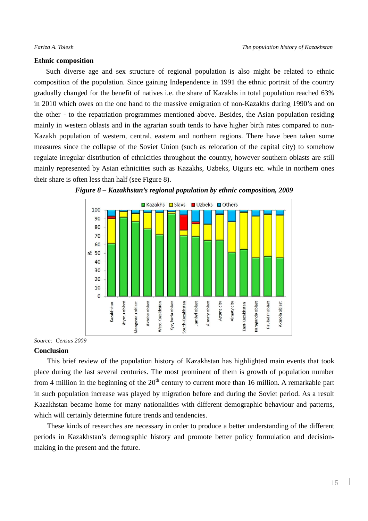#### **Ethnic composition**

Such diverse age and sex structure of regional population is also might be related to ethnic composition of the population. Since gaining Independence in 1991 the ethnic portrait of the country gradually changed for the benefit of natives i.e. the share of Kazakhs in total population reached 63% in 2010 which owes on the one hand to the massive emigration of non-Kazakhs during 1990's and on the other - to the repatriation programmes mentioned above. Besides, the Asian population residing mainly in western oblasts and in the agrarian south tends to have higher birth rates compared to non-Kazakh population of western, central, eastern and northern regions. There have been taken some measures since the collapse of the Soviet Union (such as relocation of the capital city) to somehow regulate irregular distribution of ethnicities throughout the country, however southern oblasts are still mainly represented by Asian ethnicities such as Kazakhs, Uzbeks, Uigurs etc. while in northern ones their share is often less than half (see Figure 8).





#### *Source: Census 2009*

#### **Conclusion**

This brief review of the population history of Kazakhstan has highlighted main events that took place during the last several centuries. The most prominent of them is growth of population number from 4 million in the beginning of the  $20<sup>th</sup>$  century to current more than 16 million. A remarkable part in such population increase was played by migration before and during the Soviet period. As a result Kazakhstan became home for many nationalities with different demographic behaviour and patterns, which will certainly determine future trends and tendencies.

These kinds of researches are necessary in order to produce a better understanding of the different periods in Kazakhstan's demographic history and promote better policy formulation and decisionmaking in the present and the future.